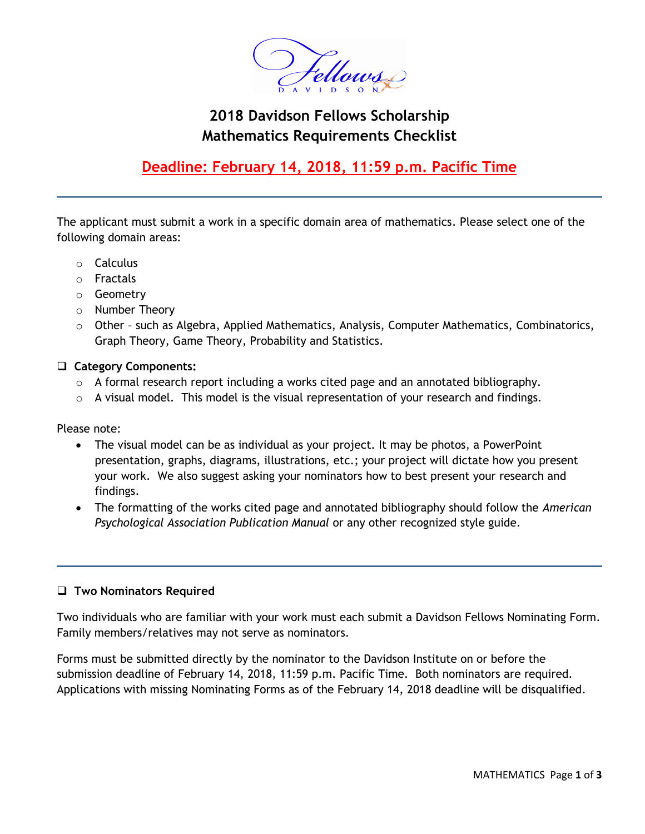

# **2018 Davidson Fellows Scholarship Mathematics Requirements Checklist**

## **Deadline: February 14, 2018, 11:59 p.m. Pacific Time**

The applicant must submit a work in a specific domain area of mathematics. Please select one of the following domain areas:

- o Calculus
- o Fractals
- o Geometry
- o Number Theory
- o Other such as Algebra, Applied Mathematics, Analysis, Computer Mathematics, Combinatorics, Graph Theory, Game Theory, Probability and Statistics.

#### **Category Components:**

- o A formal research report including a works cited page and an annotated bibliography.
- $\circ$  A visual model. This model is the visual representation of your research and findings.

Please note:

- The visual model can be as individual as your project. It may be photos, a PowerPoint presentation, graphs, diagrams, illustrations, etc.; your project will dictate how you present your work. We also suggest asking your nominators how to best present your research and findings.
- The formatting of the works cited page and annotated bibliography should follow the *American Psychological Association Publication Manual* or any other recognized style guide.

#### **Two Nominators Required**

Two individuals who are familiar with your work must each submit a Davidson Fellows Nominating Form. Family members/relatives may not serve as nominators.

Forms must be submitted directly by the nominator to the Davidson Institute on or before the submission deadline of February 14, 2018, 11:59 p.m. Pacific Time. Both nominators are required. Applications with missing Nominating Forms as of the February 14, 2018 deadline will be disqualified.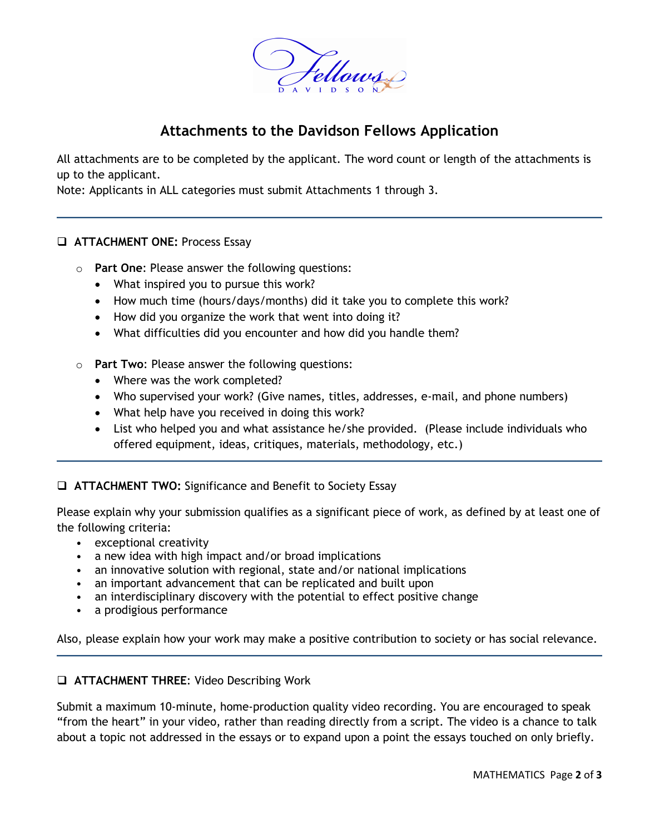

### **Attachments to the Davidson Fellows Application**

All attachments are to be completed by the applicant. The word count or length of the attachments is up to the applicant.

Note: Applicants in ALL categories must submit Attachments 1 through 3.

#### **ATTACHMENT ONE:** Process Essay

- o **Part One**: Please answer the following questions:
	- What inspired you to pursue this work?
	- How much time (hours/days/months) did it take you to complete this work?
	- How did you organize the work that went into doing it?
	- What difficulties did you encounter and how did you handle them?
- o **Part Two**: Please answer the following questions:
	- Where was the work completed?
	- Who supervised your work? (Give names, titles, addresses, e-mail, and phone numbers)
	- What help have you received in doing this work?
	- List who helped you and what assistance he/she provided. (Please include individuals who offered equipment, ideas, critiques, materials, methodology, etc.)

**ATTACHMENT TWO:** Significance and Benefit to Society Essay

Please explain why your submission qualifies as a significant piece of work, as defined by at least one of the following criteria:

- exceptional creativity
- a new idea with high impact and/or broad implications
- an innovative solution with regional, state and/or national implications
- an important advancement that can be replicated and built upon
- an interdisciplinary discovery with the potential to effect positive change
- a prodigious performance

Also, please explain how your work may make a positive contribution to society or has social relevance.

#### **ATTACHMENT THREE**: Video Describing Work

Submit a maximum 10-minute, home-production quality video recording. You are encouraged to speak "from the heart" in your video, rather than reading directly from a script. The video is a chance to talk about a topic not addressed in the essays or to expand upon a point the essays touched on only briefly.